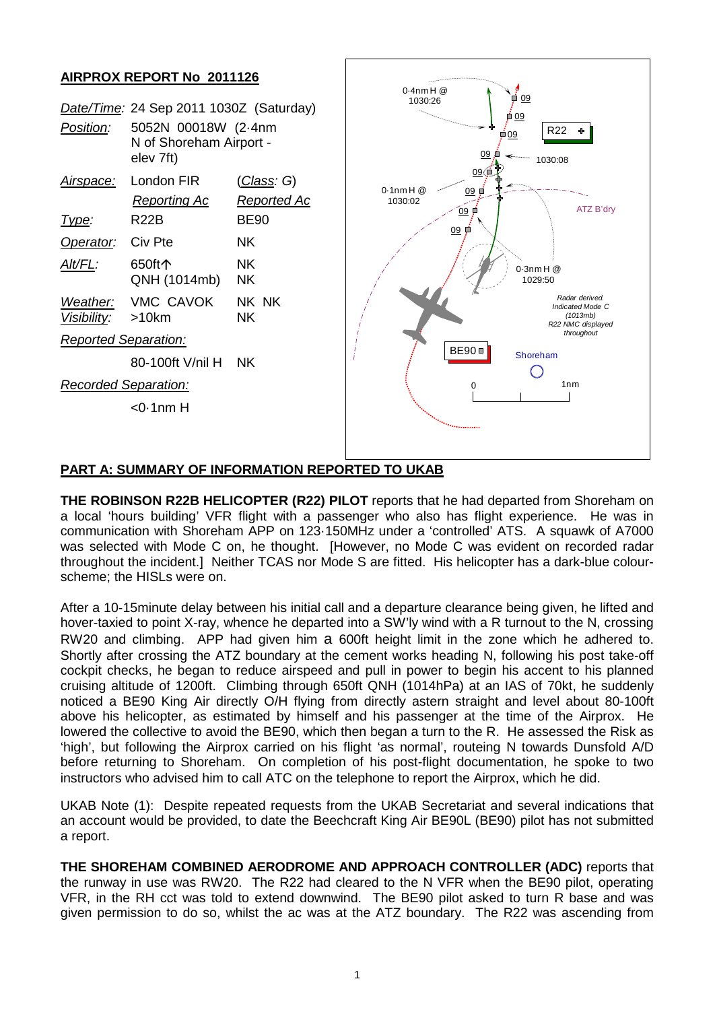

## **PART A: SUMMARY OF INFORMATION REPORTED TO UKAB**

**THE ROBINSON R22B HELICOPTER (R22) PILOT** reports that he had departed from Shoreham on a local 'hours building' VFR flight with a passenger who also has flight experience. He was in communication with Shoreham APP on 123·150MHz under a 'controlled' ATS. A squawk of A7000 was selected with Mode C on, he thought. [However, no Mode C was evident on recorded radar throughout the incident.] Neither TCAS nor Mode S are fitted. His helicopter has a dark-blue colourscheme; the HISLs were on.

After a 10-15minute delay between his initial call and a departure clearance being given, he lifted and hover-taxied to point X-ray, whence he departed into a SW'ly wind with a R turnout to the N, crossing RW20 and climbing. APP had given him a 600ft height limit in the zone which he adhered to. Shortly after crossing the ATZ boundary at the cement works heading N, following his post take-off cockpit checks, he began to reduce airspeed and pull in power to begin his accent to his planned cruising altitude of 1200ft. Climbing through 650ft QNH (1014hPa) at an IAS of 70kt, he suddenly noticed a BE90 King Air directly O/H flying from directly astern straight and level about 80-100ft above his helicopter, as estimated by himself and his passenger at the time of the Airprox. He lowered the collective to avoid the BE90, which then began a turn to the R. He assessed the Risk as 'high', but following the Airprox carried on his flight 'as normal', routeing N towards Dunsfold A/D before returning to Shoreham. On completion of his post-flight documentation, he spoke to two instructors who advised him to call ATC on the telephone to report the Airprox, which he did.

UKAB Note (1): Despite repeated requests from the UKAB Secretariat and several indications that an account would be provided, to date the Beechcraft King Air BE90L (BE90) pilot has not submitted a report.

**THE SHOREHAM COMBINED AERODROME AND APPROACH CONTROLLER (ADC)** reports that the runway in use was RW20. The R22 had cleared to the N VFR when the BE90 pilot, operating VFR, in the RH cct was told to extend downwind. The BE90 pilot asked to turn R base and was given permission to do so, whilst the ac was at the ATZ boundary. The R22 was ascending from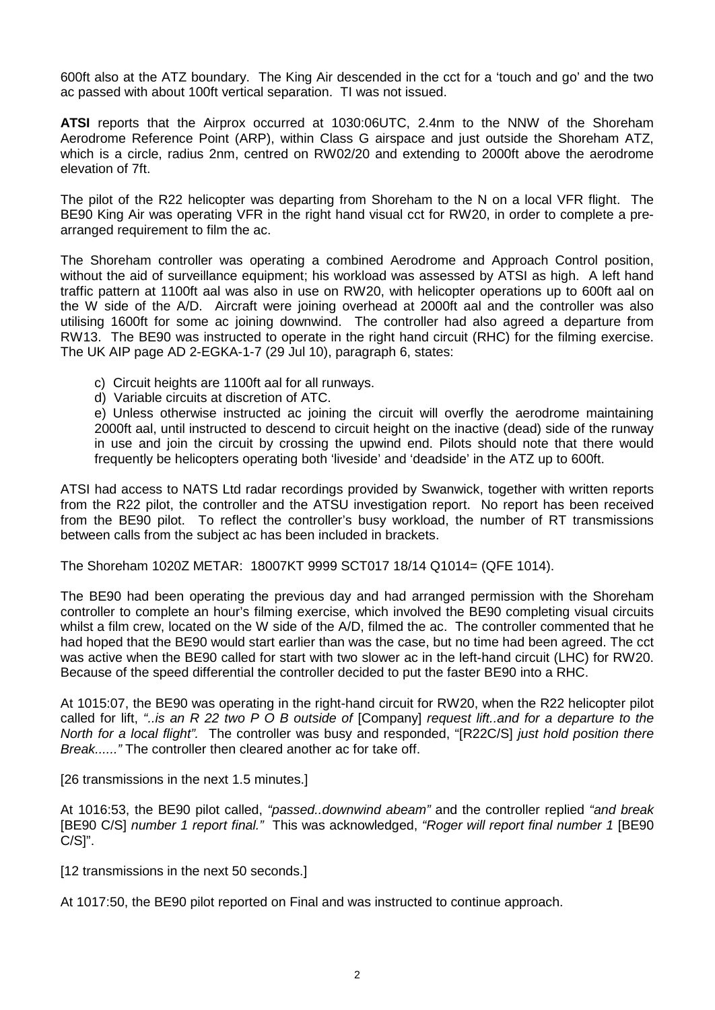600ft also at the ATZ boundary. The King Air descended in the cct for a 'touch and go' and the two ac passed with about 100ft vertical separation. TI was not issued.

**ATSI** reports that the Airprox occurred at 1030:06UTC, 2.4nm to the NNW of the Shoreham Aerodrome Reference Point (ARP), within Class G airspace and just outside the Shoreham ATZ, which is a circle, radius 2nm, centred on RW02/20 and extending to 2000ft above the aerodrome elevation of 7ft.

The pilot of the R22 helicopter was departing from Shoreham to the N on a local VFR flight. The BE90 King Air was operating VFR in the right hand visual cct for RW20, in order to complete a prearranged requirement to film the ac.

The Shoreham controller was operating a combined Aerodrome and Approach Control position, without the aid of surveillance equipment; his workload was assessed by ATSI as high. A left hand traffic pattern at 1100ft aal was also in use on RW20, with helicopter operations up to 600ft aal on the W side of the A/D. Aircraft were joining overhead at 2000ft aal and the controller was also utilising 1600ft for some ac joining downwind. The controller had also agreed a departure from RW13. The BE90 was instructed to operate in the right hand circuit (RHC) for the filming exercise. The UK AIP page AD 2-EGKA-1-7 (29 Jul 10), paragraph 6, states:

- c) Circuit heights are 1100ft aal for all runways.
- d) Variable circuits at discretion of ATC.

e) Unless otherwise instructed ac joining the circuit will overfly the aerodrome maintaining 2000ft aal, until instructed to descend to circuit height on the inactive (dead) side of the runway in use and join the circuit by crossing the upwind end. Pilots should note that there would frequently be helicopters operating both 'liveside' and 'deadside' in the ATZ up to 600ft.

ATSI had access to NATS Ltd radar recordings provided by Swanwick, together with written reports from the R22 pilot, the controller and the ATSU investigation report. No report has been received from the BE90 pilot. To reflect the controller's busy workload, the number of RT transmissions between calls from the subject ac has been included in brackets.

The Shoreham 1020Z METAR: 18007KT 9999 SCT017 18/14 Q1014= (QFE 1014).

The BE90 had been operating the previous day and had arranged permission with the Shoreham controller to complete an hour's filming exercise, which involved the BE90 completing visual circuits whilst a film crew, located on the W side of the A/D, filmed the ac. The controller commented that he had hoped that the BE90 would start earlier than was the case, but no time had been agreed. The cct was active when the BE90 called for start with two slower ac in the left-hand circuit (LHC) for RW20. Because of the speed differential the controller decided to put the faster BE90 into a RHC.

At 1015:07, the BE90 was operating in the right-hand circuit for RW20, when the R22 helicopter pilot called for lift, *"..is an R 22 two P O B outside of* [Company] *request lift..and for a departure to the North for a local flight".* The controller was busy and responded, "[R22C/S] *just hold position there Break......"* The controller then cleared another ac for take off.

[26 transmissions in the next 1.5 minutes.]

At 1016:53, the BE90 pilot called, *"passed..downwind abeam"* and the controller replied *"and break*  [BE90 C/S] *number 1 report final."* This was acknowledged, *"Roger will report final number 1* [BE90 C/S]".

[12 transmissions in the next 50 seconds.]

At 1017:50, the BE90 pilot reported on Final and was instructed to continue approach.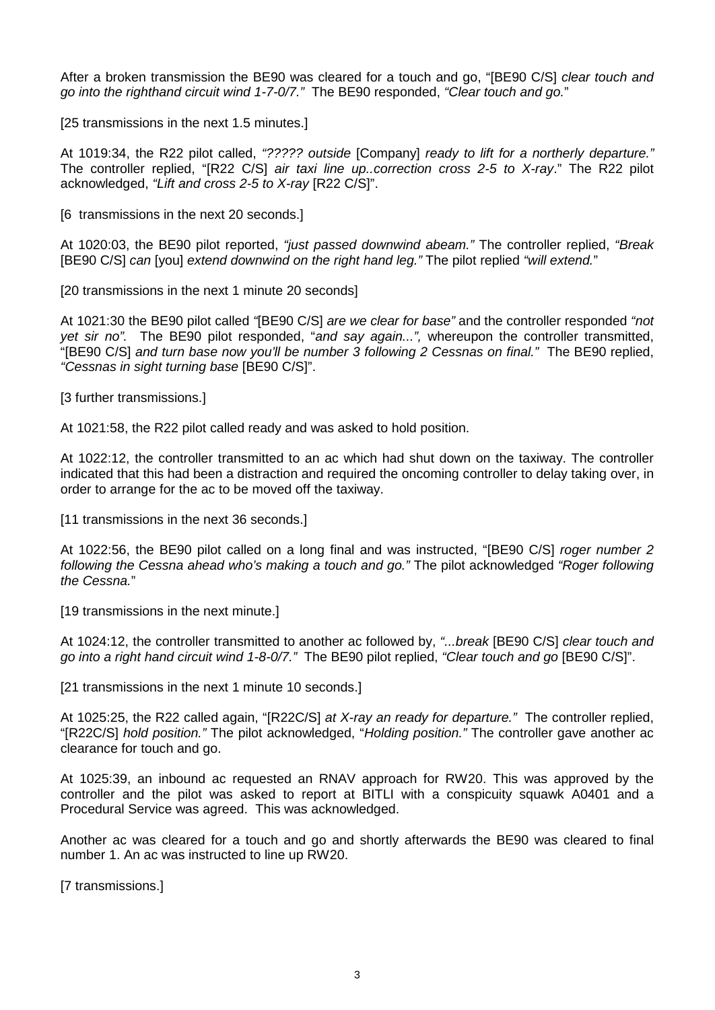After a broken transmission the BE90 was cleared for a touch and go, "[BE90 C/S] *clear touch and go into the righthand circuit wind 1-7-0/7."* The BE90 responded, *"Clear touch and go.*"

[25 transmissions in the next 1.5 minutes.]

At 1019:34, the R22 pilot called, *"????? outside* [Company] *ready to lift for a northerly departure."* The controller replied, "[R22 C/S] *air taxi line up..correction cross 2-5 to X-ray*." The R22 pilot acknowledged, *"Lift and cross 2-5 to X-ray* [R22 C/S]".

[6 transmissions in the next 20 seconds.]

At 1020:03, the BE90 pilot reported, *"just passed downwind abeam."* The controller replied, *"Break* [BE90 C/S] *can* [you] *extend downwind on the right hand leg."* The pilot replied *"will extend.*"

[20 transmissions in the next 1 minute 20 seconds]

At 1021:30 the BE90 pilot called *"*[BE90 C/S] *are we clear for base"* and the controller responded *"not yet sir no".* The BE90 pilot responded, "*and say again...",* whereupon the controller transmitted, "[BE90 C/S] *and turn base now you'll be number 3 following 2 Cessnas on final."* The BE90 replied, *"Cessnas in sight turning base* [BE90 C/S]".

[3 further transmissions.]

At 1021:58, the R22 pilot called ready and was asked to hold position.

At 1022:12, the controller transmitted to an ac which had shut down on the taxiway. The controller indicated that this had been a distraction and required the oncoming controller to delay taking over, in order to arrange for the ac to be moved off the taxiway.

[11 transmissions in the next 36 seconds.]

At 1022:56, the BE90 pilot called on a long final and was instructed, "[BE90 C/S] *roger number 2 following the Cessna ahead who's making a touch and go."* The pilot acknowledged *"Roger following the Cessna.*"

[19 transmissions in the next minute.]

At 1024:12, the controller transmitted to another ac followed by, *"...break* [BE90 C/S] *clear touch and go into a right hand circuit wind 1-8-0/7."* The BE90 pilot replied, *"Clear touch and go* [BE90 C/S]".

[21 transmissions in the next 1 minute 10 seconds.]

At 1025:25, the R22 called again, "[R22C/S] *at X-ray an ready for departure."* The controller replied, "[R22C/S] *hold position."* The pilot acknowledged, "*Holding position."* The controller gave another ac clearance for touch and go.

At 1025:39, an inbound ac requested an RNAV approach for RW20. This was approved by the controller and the pilot was asked to report at BITLI with a conspicuity squawk A0401 and a Procedural Service was agreed. This was acknowledged.

Another ac was cleared for a touch and go and shortly afterwards the BE90 was cleared to final number 1. An ac was instructed to line up RW20.

[7 transmissions.]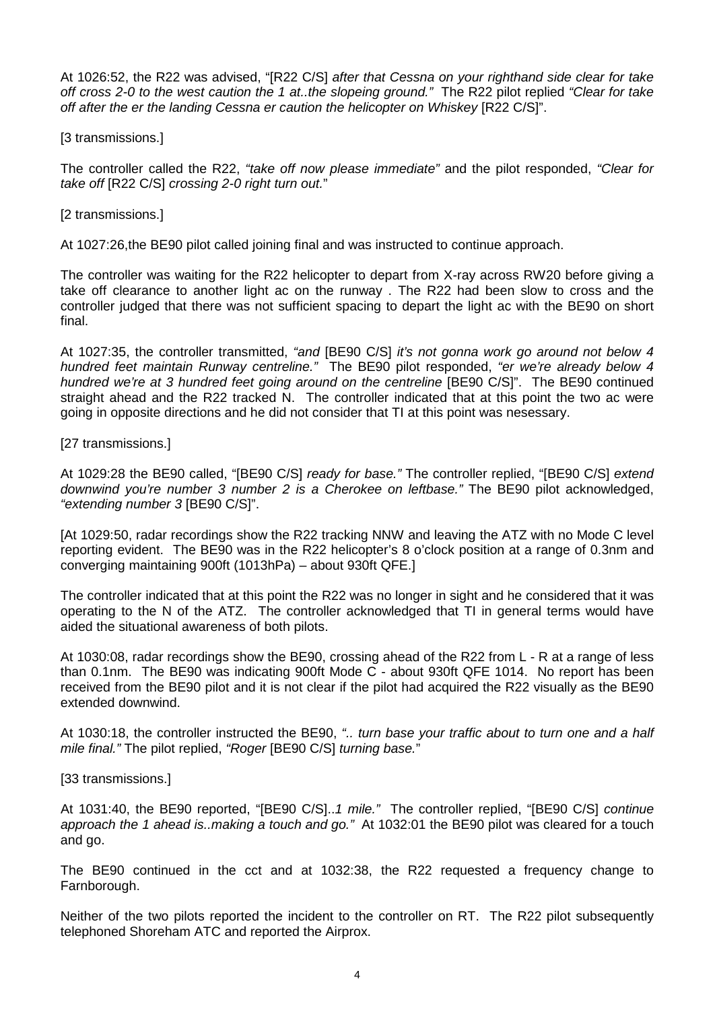At 1026:52, the R22 was advised, "[R22 C/S] *after that Cessna on your righthand side clear for take off cross 2-0 to the west caution the 1 at..the slopeing ground."* The R22 pilot replied *"Clear for take off after the er the landing Cessna er caution the helicopter on Whiskey [R22 C/S]"*.

[3 transmissions.]

The controller called the R22, *"take off now please immediate"* and the pilot responded, *"Clear for take off* [R22 C/S] *crossing 2-0 right turn out.*"

[2 transmissions.]

At 1027:26,the BE90 pilot called joining final and was instructed to continue approach.

The controller was waiting for the R22 helicopter to depart from X-ray across RW20 before giving a take off clearance to another light ac on the runway . The R22 had been slow to cross and the controller judged that there was not sufficient spacing to depart the light ac with the BE90 on short final.

At 1027:35, the controller transmitted, *"and* [BE90 C/S] *it's not gonna work go around not below 4 hundred feet maintain Runway centreline."* The BE90 pilot responded, *"er we're already below 4 hundred we're at 3 hundred feet going around on the centreline* [BE90 C/S]". The BE90 continued straight ahead and the R22 tracked N. The controller indicated that at this point the two ac were going in opposite directions and he did not consider that TI at this point was nesessary.

[27 transmissions.]

At 1029:28 the BE90 called, "[BE90 C/S] *ready for base."* The controller replied, "[BE90 C/S] *extend downwind you're number 3 number 2 is a Cherokee on leftbase."* The BE90 pilot acknowledged, *"extending number 3* [BE90 C/S]".

[At 1029:50, radar recordings show the R22 tracking NNW and leaving the ATZ with no Mode C level reporting evident. The BE90 was in the R22 helicopter's 8 o'clock position at a range of 0.3nm and converging maintaining 900ft (1013hPa) – about 930ft QFE.]

The controller indicated that at this point the R22 was no longer in sight and he considered that it was operating to the N of the ATZ. The controller acknowledged that TI in general terms would have aided the situational awareness of both pilots.

At 1030:08, radar recordings show the BE90, crossing ahead of the R22 from L - R at a range of less than 0.1nm. The BE90 was indicating 900ft Mode C - about 930ft QFE 1014. No report has been received from the BE90 pilot and it is not clear if the pilot had acquired the R22 visually as the BE90 extended downwind.

At 1030:18, the controller instructed the BE90, *".. turn base your traffic about to turn one and a half mile final."* The pilot replied, *"Roger* [BE90 C/S] *turning base.*"

[33 transmissions.]

At 1031:40, the BE90 reported, "[BE90 C/S]..*1 mile."* The controller replied, "[BE90 C/S] *continue approach the 1 ahead is..making a touch and go."* At 1032:01 the BE90 pilot was cleared for a touch and go.

The BE90 continued in the cct and at 1032:38, the R22 requested a frequency change to Farnborough.

Neither of the two pilots reported the incident to the controller on RT. The R22 pilot subsequently telephoned Shoreham ATC and reported the Airprox.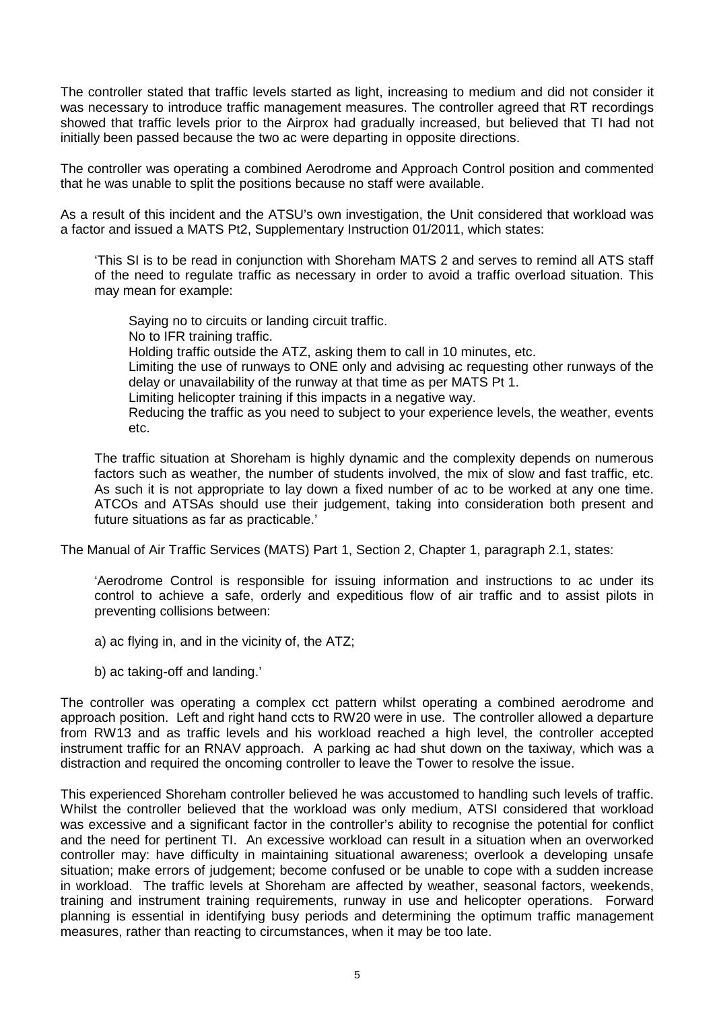The controller stated that traffic levels started as light, increasing to medium and did not consider it was necessary to introduce traffic management measures. The controller agreed that RT recordings showed that traffic levels prior to the Airprox had gradually increased, but believed that TI had not initially been passed because the two ac were departing in opposite directions.

The controller was operating a combined Aerodrome and Approach Control position and commented that he was unable to split the positions because no staff were available.

As a result of this incident and the ATSU's own investigation, the Unit considered that workload was a factor and issued a MATS Pt2, Supplementary Instruction 01/2011, which states:

'This SI is to be read in conjunction with Shoreham MATS 2 and serves to remind all ATS staff of the need to regulate traffic as necessary in order to avoid a traffic overload situation. This may mean for example:

Saying no to circuits or landing circuit traffic. No to IFR training traffic. Holding traffic outside the ATZ, asking them to call in 10 minutes, etc. Limiting the use of runways to ONE only and advising ac requesting other runways of the delay or unavailability of the runway at that time as per MATS Pt 1. Limiting helicopter training if this impacts in a negative way. Reducing the traffic as you need to subject to your experience levels, the weather, events etc.

The traffic situation at Shoreham is highly dynamic and the complexity depends on numerous factors such as weather, the number of students involved, the mix of slow and fast traffic, etc. As such it is not appropriate to lay down a fixed number of ac to be worked at any one time. ATCOs and ATSAs should use their judgement, taking into consideration both present and future situations as far as practicable.'

The Manual of Air Traffic Services (MATS) Part 1, Section 2, Chapter 1, paragraph 2.1, states:

'Aerodrome Control is responsible for issuing information and instructions to ac under its control to achieve a safe, orderly and expeditious flow of air traffic and to assist pilots in preventing collisions between:

a) ac flying in, and in the vicinity of, the ATZ;

b) ac taking-off and landing.'

The controller was operating a complex cct pattern whilst operating a combined aerodrome and approach position. Left and right hand ccts to RW20 were in use. The controller allowed a departure from RW13 and as traffic levels and his workload reached a high level, the controller accepted instrument traffic for an RNAV approach. A parking ac had shut down on the taxiway, which was a distraction and required the oncoming controller to leave the Tower to resolve the issue.

This experienced Shoreham controller believed he was accustomed to handling such levels of traffic. Whilst the controller believed that the workload was only medium, ATSI considered that workload was excessive and a significant factor in the controller's ability to recognise the potential for conflict and the need for pertinent TI. An excessive workload can result in a situation when an overworked controller may: have difficulty in maintaining situational awareness; overlook a developing unsafe situation; make errors of judgement; become confused or be unable to cope with a sudden increase in workload. The traffic levels at Shoreham are affected by weather, seasonal factors, weekends, training and instrument training requirements, runway in use and helicopter operations. Forward planning is essential in identifying busy periods and determining the optimum traffic management measures, rather than reacting to circumstances, when it may be too late.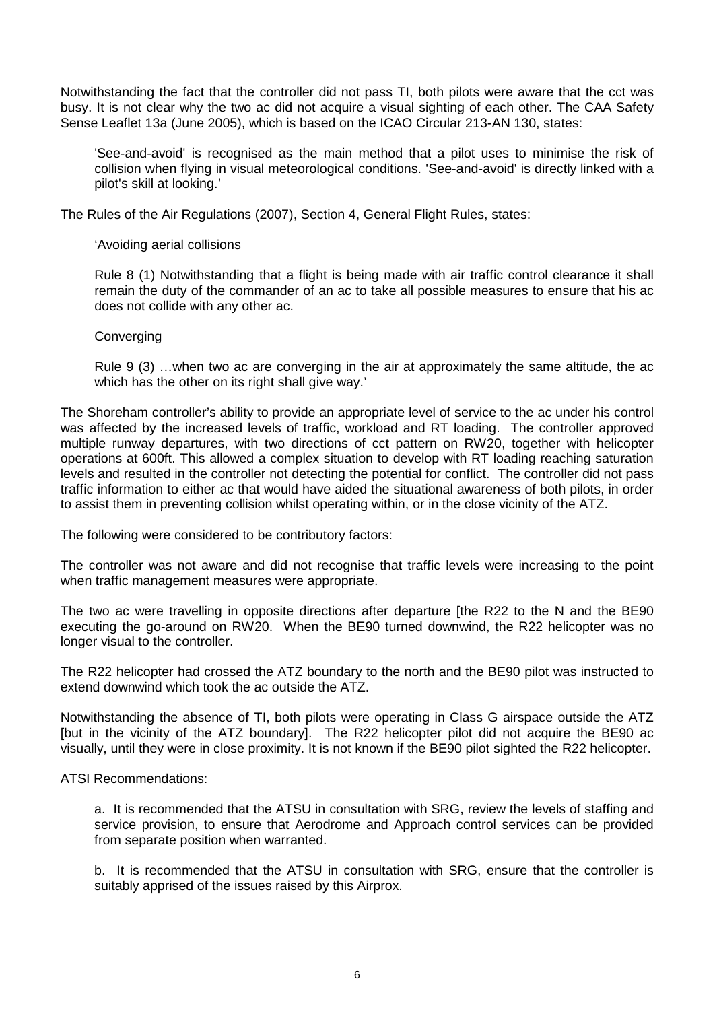Notwithstanding the fact that the controller did not pass TI, both pilots were aware that the cct was busy. It is not clear why the two ac did not acquire a visual sighting of each other. The CAA Safety Sense Leaflet 13a (June 2005), which is based on the ICAO Circular 213-AN 130, states:

'See-and-avoid' is recognised as the main method that a pilot uses to minimise the risk of collision when flying in visual meteorological conditions. 'See-and-avoid' is directly linked with a pilot's skill at looking.'

The Rules of the Air Regulations (2007), Section 4, General Flight Rules, states:

'Avoiding aerial collisions

Rule 8 (1) Notwithstanding that a flight is being made with air traffic control clearance it shall remain the duty of the commander of an ac to take all possible measures to ensure that his ac does not collide with any other ac.

**Converging** 

Rule 9 (3) …when two ac are converging in the air at approximately the same altitude, the ac which has the other on its right shall give way.'

The Shoreham controller's ability to provide an appropriate level of service to the ac under his control was affected by the increased levels of traffic, workload and RT loading. The controller approved multiple runway departures, with two directions of cct pattern on RW20, together with helicopter operations at 600ft. This allowed a complex situation to develop with RT loading reaching saturation levels and resulted in the controller not detecting the potential for conflict. The controller did not pass traffic information to either ac that would have aided the situational awareness of both pilots, in order to assist them in preventing collision whilst operating within, or in the close vicinity of the ATZ.

The following were considered to be contributory factors:

The controller was not aware and did not recognise that traffic levels were increasing to the point when traffic management measures were appropriate.

The two ac were travelling in opposite directions after departure [the R22 to the N and the BE90 executing the go-around on RW20. When the BE90 turned downwind, the R22 helicopter was no longer visual to the controller.

The R22 helicopter had crossed the ATZ boundary to the north and the BE90 pilot was instructed to extend downwind which took the ac outside the ATZ.

Notwithstanding the absence of TI, both pilots were operating in Class G airspace outside the ATZ [but in the vicinity of the ATZ boundary]. The R22 helicopter pilot did not acquire the BE90 ac visually, until they were in close proximity. It is not known if the BE90 pilot sighted the R22 helicopter.

ATSI Recommendations:

a. It is recommended that the ATSU in consultation with SRG, review the levels of staffing and service provision, to ensure that Aerodrome and Approach control services can be provided from separate position when warranted.

b. It is recommended that the ATSU in consultation with SRG, ensure that the controller is suitably apprised of the issues raised by this Airprox.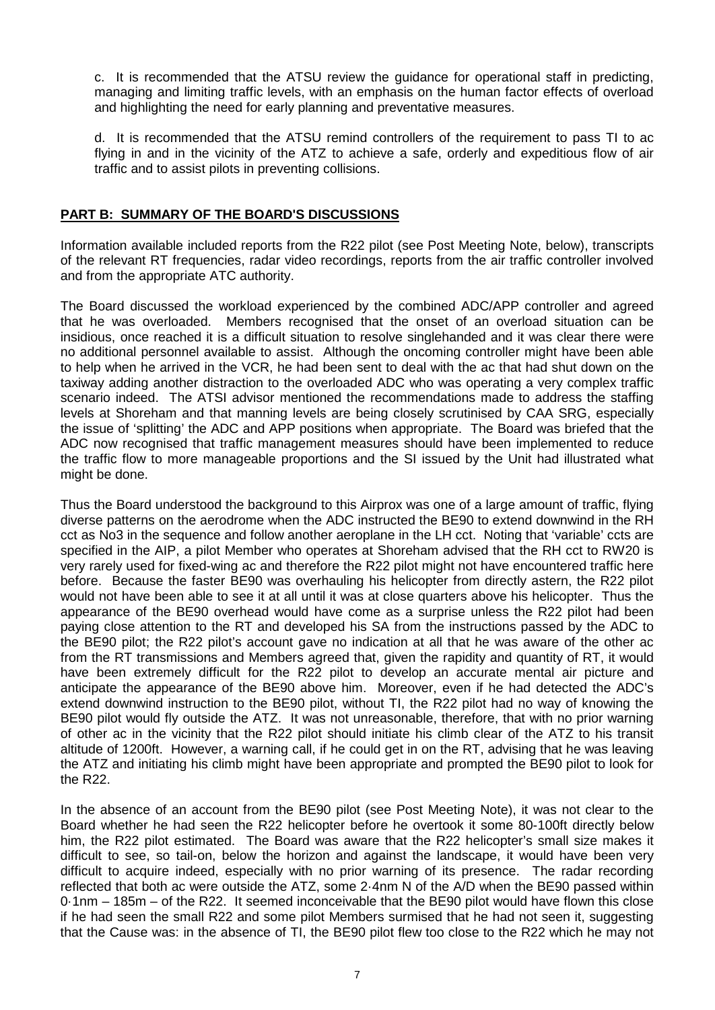c. It is recommended that the ATSU review the guidance for operational staff in predicting, managing and limiting traffic levels, with an emphasis on the human factor effects of overload and highlighting the need for early planning and preventative measures.

d. It is recommended that the ATSU remind controllers of the requirement to pass TI to ac flying in and in the vicinity of the ATZ to achieve a safe, orderly and expeditious flow of air traffic and to assist pilots in preventing collisions.

## **PART B: SUMMARY OF THE BOARD'S DISCUSSIONS**

Information available included reports from the R22 pilot (see Post Meeting Note, below), transcripts of the relevant RT frequencies, radar video recordings, reports from the air traffic controller involved and from the appropriate ATC authority.

The Board discussed the workload experienced by the combined ADC/APP controller and agreed that he was overloaded. Members recognised that the onset of an overload situation can be insidious, once reached it is a difficult situation to resolve singlehanded and it was clear there were no additional personnel available to assist. Although the oncoming controller might have been able to help when he arrived in the VCR, he had been sent to deal with the ac that had shut down on the taxiway adding another distraction to the overloaded ADC who was operating a very complex traffic scenario indeed. The ATSI advisor mentioned the recommendations made to address the staffing levels at Shoreham and that manning levels are being closely scrutinised by CAA SRG, especially the issue of 'splitting' the ADC and APP positions when appropriate. The Board was briefed that the ADC now recognised that traffic management measures should have been implemented to reduce the traffic flow to more manageable proportions and the SI issued by the Unit had illustrated what might be done.

Thus the Board understood the background to this Airprox was one of a large amount of traffic, flying diverse patterns on the aerodrome when the ADC instructed the BE90 to extend downwind in the RH cct as No3 in the sequence and follow another aeroplane in the LH cct. Noting that 'variable' ccts are specified in the AIP, a pilot Member who operates at Shoreham advised that the RH cct to RW20 is very rarely used for fixed-wing ac and therefore the R22 pilot might not have encountered traffic here before. Because the faster BE90 was overhauling his helicopter from directly astern, the R22 pilot would not have been able to see it at all until it was at close quarters above his helicopter. Thus the appearance of the BE90 overhead would have come as a surprise unless the R22 pilot had been paying close attention to the RT and developed his SA from the instructions passed by the ADC to the BE90 pilot; the R22 pilot's account gave no indication at all that he was aware of the other ac from the RT transmissions and Members agreed that, given the rapidity and quantity of RT, it would have been extremely difficult for the R22 pilot to develop an accurate mental air picture and anticipate the appearance of the BE90 above him. Moreover, even if he had detected the ADC's extend downwind instruction to the BE90 pilot, without TI, the R22 pilot had no way of knowing the BE90 pilot would fly outside the ATZ. It was not unreasonable, therefore, that with no prior warning of other ac in the vicinity that the R22 pilot should initiate his climb clear of the ATZ to his transit altitude of 1200ft. However, a warning call, if he could get in on the RT, advising that he was leaving the ATZ and initiating his climb might have been appropriate and prompted the BE90 pilot to look for the R22.

In the absence of an account from the BE90 pilot (see Post Meeting Note), it was not clear to the Board whether he had seen the R22 helicopter before he overtook it some 80-100ft directly below him, the R22 pilot estimated. The Board was aware that the R22 helicopter's small size makes it difficult to see, so tail-on, below the horizon and against the landscape, it would have been very difficult to acquire indeed, especially with no prior warning of its presence. The radar recording reflected that both ac were outside the ATZ, some 2·4nm N of the A/D when the BE90 passed within 0·1nm – 185m – of the R22. It seemed inconceivable that the BE90 pilot would have flown this close if he had seen the small R22 and some pilot Members surmised that he had not seen it, suggesting that the Cause was: in the absence of TI, the BE90 pilot flew too close to the R22 which he may not